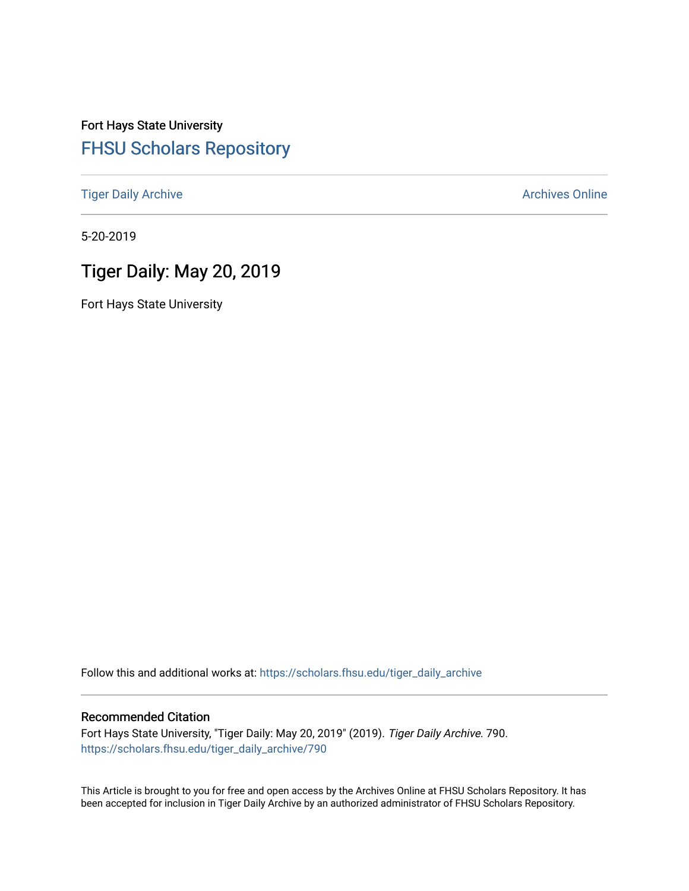## Fort Hays State University [FHSU Scholars Repository](https://scholars.fhsu.edu/)

[Tiger Daily Archive](https://scholars.fhsu.edu/tiger_daily_archive) **Archives** Online Archives Online

5-20-2019

## Tiger Daily: May 20, 2019

Fort Hays State University

Follow this and additional works at: [https://scholars.fhsu.edu/tiger\\_daily\\_archive](https://scholars.fhsu.edu/tiger_daily_archive?utm_source=scholars.fhsu.edu%2Ftiger_daily_archive%2F790&utm_medium=PDF&utm_campaign=PDFCoverPages)

#### Recommended Citation

Fort Hays State University, "Tiger Daily: May 20, 2019" (2019). Tiger Daily Archive. 790. [https://scholars.fhsu.edu/tiger\\_daily\\_archive/790](https://scholars.fhsu.edu/tiger_daily_archive/790?utm_source=scholars.fhsu.edu%2Ftiger_daily_archive%2F790&utm_medium=PDF&utm_campaign=PDFCoverPages)

This Article is brought to you for free and open access by the Archives Online at FHSU Scholars Repository. It has been accepted for inclusion in Tiger Daily Archive by an authorized administrator of FHSU Scholars Repository.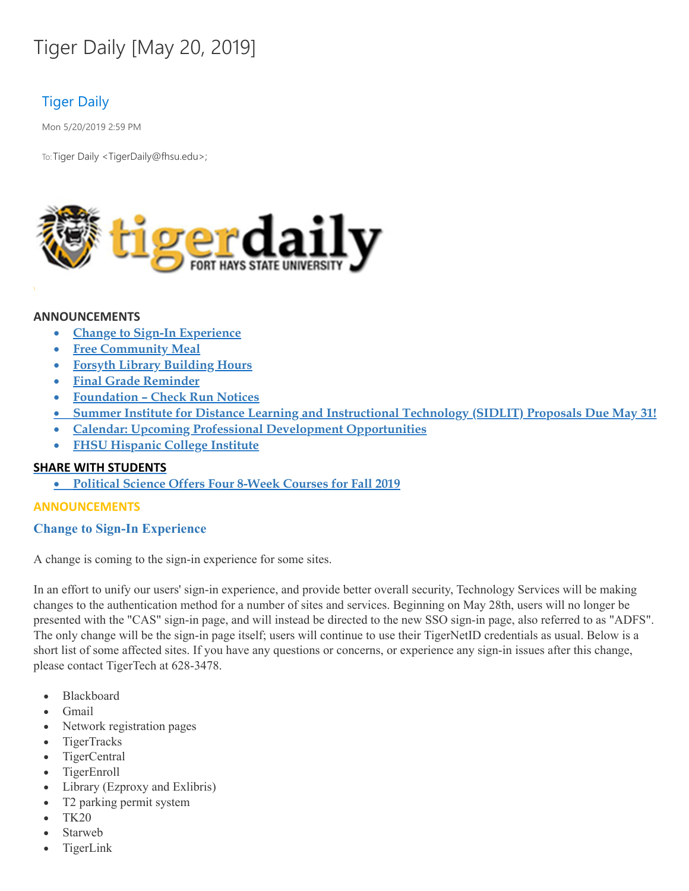# Tiger Daily [May 20, 2019]

### Tiger Daily

Mon 5/20/2019 2:59 PM

To: Tiger Daily < TigerDaily@fhsu.edu>;



#### **ANNOUNCEMENTS**

- · **Change to Sign-In Experience**
- · **Free Community Meal**
- · **Forsyth Library Building Hours**
- · **Final Grade Reminder**
- · **Foundation – Check Run Notices**
- · **Summer Institute for Distance Learning and Instructional Technology (SIDLIT) Proposals Due May 31!**
- · **Calendar: Upcoming Professional Development Opportunities**
- · **FHSU Hispanic College Institute**

#### **SHARE WITH STUDENTS**

· **Political Science Offers Four 8-Week Courses for Fall 2019**

#### **ANNOUNCEMENTS**

#### **Change to Sign-In Experience**

A change is coming to the sign-in experience for some sites.

In an effort to unify our users' sign-in experience, and provide better overall security, Technology Services will be making changes to the authentication method for a number of sites and services. Beginning on May 28th, users will no longer be presented with the "CAS" sign-in page, and will instead be directed to the new SSO sign-in page, also referred to as "ADFS" . The only change will be the sign-in page itself; users will continue to use their TigerNetID credentials as usual. Below is a short list of some affected sites. If you have any questions or concerns, or experience any sign-in issues after this change, please contact TigerTech at 628-3478.

- · Blackboard
- · Gmail
- Network registration pages
- · TigerTracks
- · TigerCentral
- TigerEnroll
- Library (Ezproxy and Exlibris)
- · T2 parking permit system
- · TK20
- **Starweb**
- TigerLink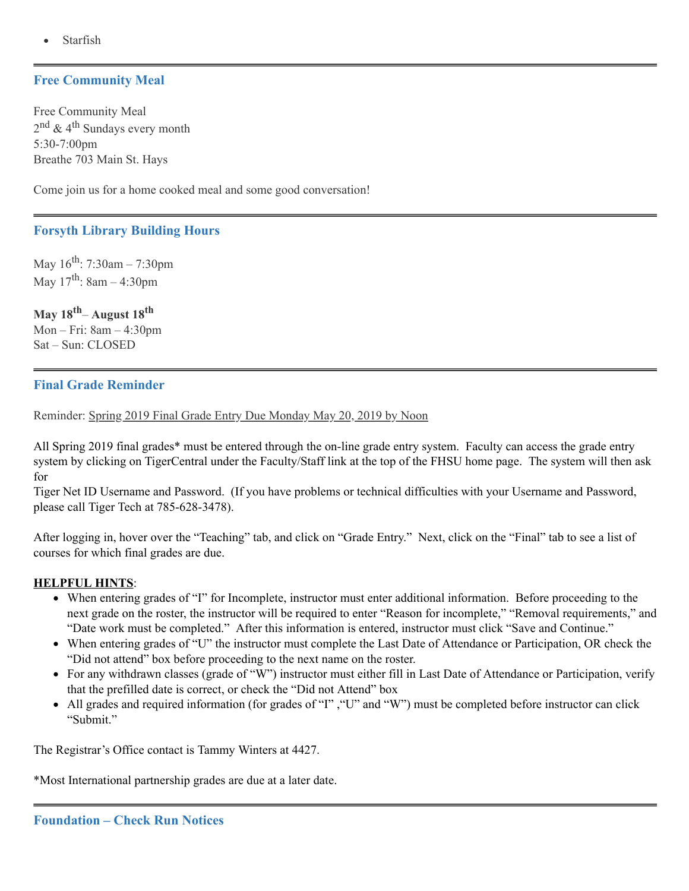**Starfish** 

#### **Free Community Meal**

Free Community Meal 2<sup>nd</sup> & 4<sup>th</sup> Sundays every month 5:30-7:00pm Breathe 703 Main St. Hays

Come join us for a home cooked meal and some good conversation!

#### **Forsyth Library Building Hours**

May 16<sup>th</sup>: 7:30am – 7:30pm May 17<sup>th</sup>: 8am – 4:30pm

**May 18 th**– **August 18 th** Mon – Fri: 8am – 4:30pm Sat – Sun: CLOSED

#### **Final Grade Reminder**

Reminder: Spring 2019 Final Grade Entry Due Monday May 20, 2019 by Noon

All Spring 2019 final grades\* must be entered through the on-line grade entry system. Faculty can access the grade entry system by clicking on TigerCentral under the Faculty/Staff link at the top of the FHSU home page. The system will then ask for

Tiger Net ID Username and Password. (If you have problems or technical difficulties with your Username and Password, please call Tiger Tech at 785-628-3478).

After logging in, hover over the "Teaching" tab, and click on "Grade Entry. " Next, click on the "Final" tab to see a list of courses for which final grades are due.

#### **HELPFUL HINTS**:

- When entering grades of "I" for Incomplete, instructor must enter additional information. Before proceeding to the next grade on the roster, the instructor will be required to enter "Reason for incomplete," "Removal requirements," and "Date work must be completed." After this information is entered, instructor must click "Save and Continue."
- When entering grades of "U" the instructor must complete the Last Date of Attendance or Participation, OR check the "Did not attend" box before proceeding to the next name on the roster.
- For any withdrawn classes (grade of "W") instructor must either fill in Last Date of Attendance or Participation, verify that the prefilled date is correct, or check the "Did not Attend" box
- All grades and required information (for grades of "I", "U" and "W") must be completed before instructor can click "Submit. "

The Registrar's Office contact is Tammy Winters at 4427.

\*Most International partnership grades are due at a later date.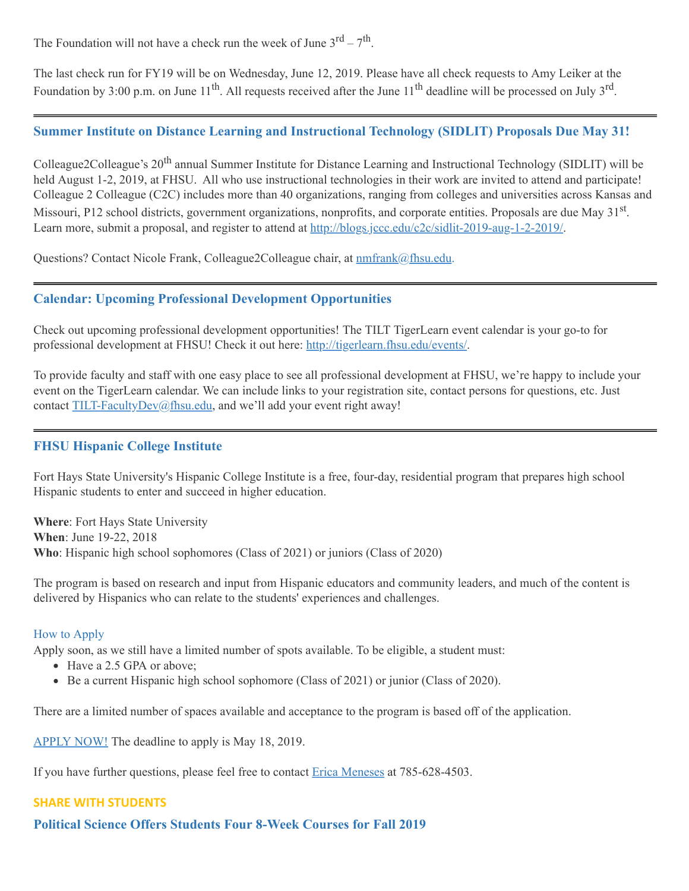The Foundation will not have a check run the week of June  $3^{rd} - 7^{th}$ .

The last check run for FY19 will be on Wednesday, June 12, 2019. Please have all check requests to Amy Leiker at the Foundation by 3:00 p.m. on June 11<sup>th</sup>. All requests received after the June 11<sup>th</sup> deadline will be processed on July 3<sup>rd</sup>.

#### **Summer Institute on Distance Learning and Instructional Technology (SIDLIT) Proposals Due May 31!**

Colleague2Colleague's 20<sup>th</sup> annual Summer Institute for Distance Learning and Instructional Technology (SIDLIT) will be held August 1-2, 2019, at FHSU. All who use instructional technologies in their work are invited to attend and participate! Colleague 2 Colleague (C2C) includes more than 40 organizations, ranging from colleges and universities across Kansas and Missouri, P12 school districts, government organizations, nonprofits, and corporate entities. Proposals are due May 31<sup>st</sup>. Learn more, submit a proposal, and register to attend at [http://blogs.jccc.edu/c2c/sidlit-2019-aug-1-2-2019/.](http://blogs.jccc.edu/c2c/sidlit-2019-aug-1-2-2019/)

Questions? Contact Nicole Frank, Colleague2Colleague chair, at  $\text{nmfrank}(a)$ fhsu.edu.

#### **Calendar: Upcoming Professional Development Opportunities**

Check out upcoming professional development opportunities! The TILT TigerLearn event calendar is your go-to for professional development at FHSU! Check it out here: <http://tigerlearn.fhsu.edu/events/>.

To provide faculty and staff with one easy place to see all professional development at FHSU, we're happy to include your event on the TigerLearn calendar. We can include links to your registration site, contact persons for questions, etc. Just contact [TILT-FacultyDev@fhsu.edu,](mailto:TILT-FacultyDev@fhsu.edu) and we'll add your event right away!

#### **FHSU Hispanic College Institute**

Fort Hays State University's Hispanic College Institute is a free, four-day, residential program that prepares high school Hispanic students to enter and succeed in higher education.

**Where**: Fort Hays State University **When**: June 19-22, 2018 **Who**: Hispanic high school sophomores (Class of 2021) or juniors (Class of 2020)

The program is based on research and input from Hispanic educators and community leaders, and much of the content is delivered by Hispanics who can relate to the students' experiences and challenges.

#### How to Apply

Apply soon, as we still have a limited number of spots available. To be eligible, a student must:

- Have a 2.5 GPA or above;
- Be a current Hispanic high school sophomore (Class of 2021) or junior (Class of 2020).

There are a limited number of spaces available and acceptance to the program is based off of the application.

[APPLY](https://webapps.fhsu.edu/hciapplication/) NOW! The deadline to apply is May 18, 2019.

If you have further questions, please feel free to contact Erica [Meneses](mailto:mailto:h_perez@fhsu.edu?subject=mailto:h_perez@fhsu.edu) at 785-628-4503.

#### **SHARE WITH STUDENTS**

**Political Science Offers Students Four 8-Week Courses for Fall 2019**